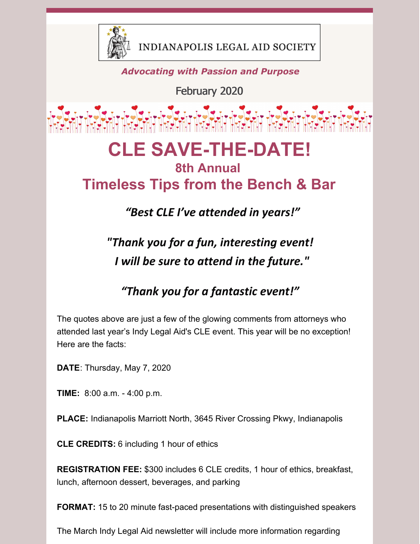

INDIANAPOLIS LEGAL AID SOCIETY

*Advocating with Passion and Purpose*

February 2020

# **CLE SAVE-THE-DATE!**

#### **8th Annual Timeless Tips from the Bench & Bar**

*"Best CLE I've attended in years!"*

*"Thank you for a fun, interesting event! I will be sure to attend in the future."*

*"Thank you for a fantastic event!"*

The quotes above are just a few of the glowing comments from attorneys who attended last year's Indy Legal Aid's CLE event. This year will be no exception! Here are the facts:

**DATE**: Thursday, May 7, 2020

**TIME:** 8:00 a.m. - 4:00 p.m.

**PLACE:** Indianapolis Marriott North, 3645 River Crossing Pkwy, Indianapolis

**CLE CREDITS:** 6 including 1 hour of ethics

**REGISTRATION FEE:** \$300 includes 6 CLE credits, 1 hour of ethics, breakfast, lunch, afternoon dessert, beverages, and parking

**FORMAT:** 15 to 20 minute fast-paced presentations with distinguished speakers

The March Indy Legal Aid newsletter will include more information regarding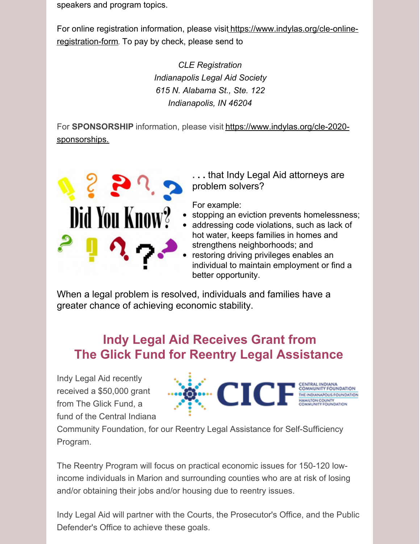speakers and program topics.

For online registration information, please visit [https://www.indylas.org/cle-online](https://www.indylas.org/cle-online-registration-form)registration-form. To pay by check, please send to

> *CLE Registration Indianapolis Legal Aid Society 615 N. Alabama St., Ste. 122 Indianapolis, IN 46204*

For **SPONSORSHIP** information, please visit [https://www.indylas.org/cle-2020](https://www.indylas.org/cle-2020-sponsorships) sponsorships.



**. . .** that Indy Legal Aid attorneys are problem solvers?

For example:

- stopping an eviction prevents homelessness;
- addressing code violations, such as lack of hot water, keeps families in homes and strengthens neighborhoods; and
- restoring driving privileges enables an individual to maintain employment or find a better opportunity.

When a legal problem is resolved, individuals and families have a greater chance of achieving economic stability.

#### **Indy Legal Aid Receives Grant from The Glick Fund for Reentry Legal Assistance**

Indy Legal Aid recently received a \$50,000 grant from The Glick Fund, a fund of the Central Indiana



Community Foundation, for our Reentry Legal Assistance for Self-Sufficiency Program.

The Reentry Program will focus on practical economic issues for 150-120 lowincome individuals in Marion and surrounding counties who are at risk of losing and/or obtaining their jobs and/or housing due to reentry issues.

Indy Legal Aid will partner with the Courts, the Prosecutor's Office, and the Public Defender's Office to achieve these goals.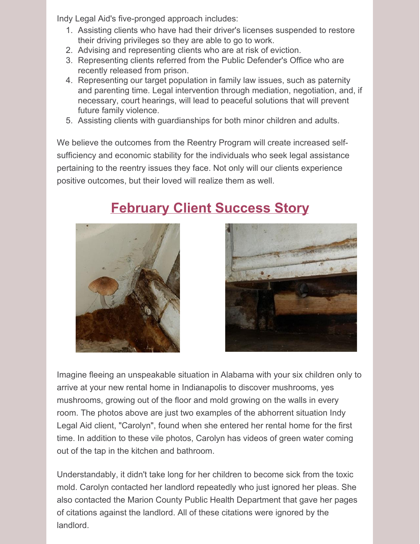Indy Legal Aid's five-pronged approach includes:

- 1. Assisting clients who have had their driver's licenses suspended to restore their driving privileges so they are able to go to work.
- 2. Advising and representing clients who are at risk of eviction.
- 3. Representing clients referred from the Public Defender's Office who are recently released from prison.
- 4. Representing our target population in family law issues, such as paternity and parenting time. Legal intervention through mediation, negotiation, and, if necessary, court hearings, will lead to peaceful solutions that will prevent future family violence.
- 5. Assisting clients with guardianships for both minor children and adults.

We believe the outcomes from the Reentry Program will create increased selfsufficiency and economic stability for the individuals who seek legal assistance pertaining to the reentry issues they face. Not only will our clients experience positive outcomes, but their loved will realize them as well.



## **February Client Success Story**



Imagine fleeing an unspeakable situation in Alabama with your six children only to arrive at your new rental home in Indianapolis to discover mushrooms, yes mushrooms, growing out of the floor and mold growing on the walls in every room. The photos above are just two examples of the abhorrent situation Indy Legal Aid client, "Carolyn", found when she entered her rental home for the first time. In addition to these vile photos, Carolyn has videos of green water coming out of the tap in the kitchen and bathroom.

Understandably, it didn't take long for her children to become sick from the toxic mold. Carolyn contacted her landlord repeatedly who just ignored her pleas. She also contacted the Marion County Public Health Department that gave her pages of citations against the landlord. All of these citations were ignored by the landlord.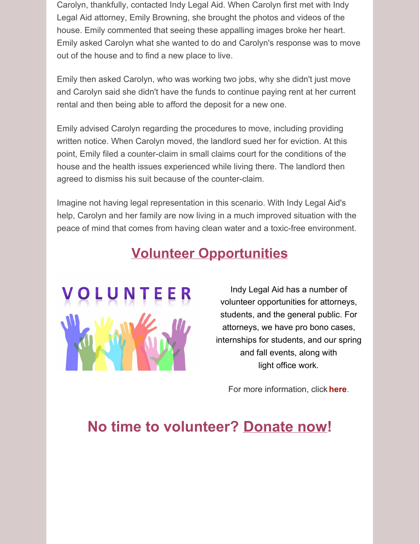Carolyn, thankfully, contacted Indy Legal Aid. When Carolyn first met with Indy Legal Aid attorney, Emily Browning, she brought the photos and videos of the house. Emily commented that seeing these appalling images broke her heart. Emily asked Carolyn what she wanted to do and Carolyn's response was to move out of the house and to find a new place to live.

Emily then asked Carolyn, who was working two jobs, why she didn't just move and Carolyn said she didn't have the funds to continue paying rent at her current rental and then being able to afford the deposit for a new one.

Emily advised Carolyn regarding the procedures to move, including providing written notice. When Carolyn moved, the landlord sued her for eviction. At this point, Emily filed a counter-claim in small claims court for the conditions of the house and the health issues experienced while living there. The landlord then agreed to dismiss his suit because of the counter-claim.

Imagine not having legal representation in this scenario. With Indy Legal Aid's help, Carolyn and her family are now living in a much improved situation with the peace of mind that comes from having clean water and a toxic-free environment.

### **Volunteer Opportunities**



Indy Legal Aid has a number of volunteer opportunities for attorneys, students, and the general public. For attorneys, we have pro bono cases, internships for students, and our spring and fall events, along with light office work.

For more information, click **[here](https://www.indylas.org/volunteering)**[.](https://www.indylas.org/volunteering)

## **No time to volunteer? [Donate](https://interland3.donorperfect.net/weblink/weblink.aspx?name=E5192&id=1) now!**